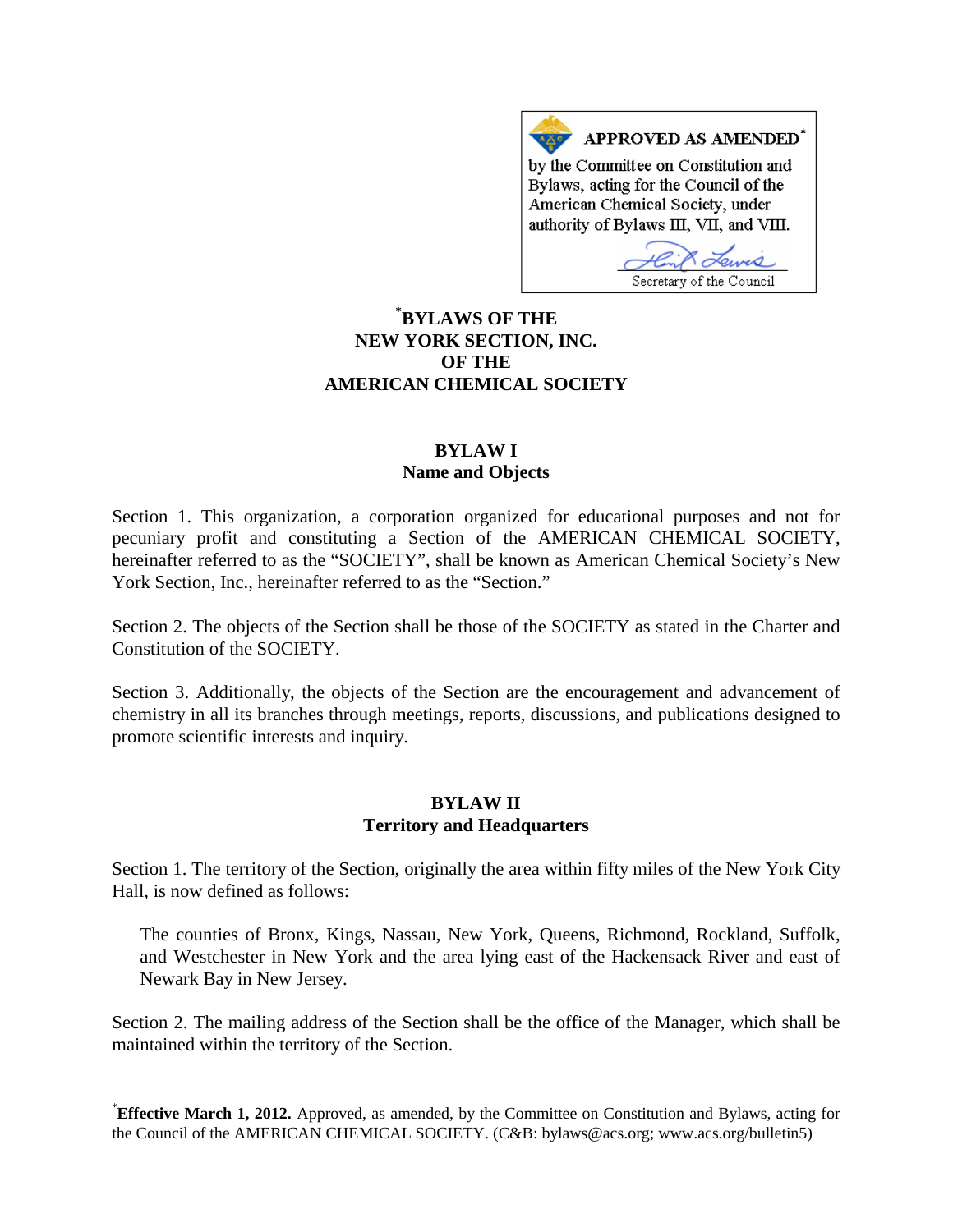APPROVED AS AMENDED<sup>\*</sup> by the Committee on Constitution and Bylaws, acting for the Council of the American Chemical Society, under authority of Bylaws III, VII, and VIII.

Secretary of the Council

# **[\\*](#page-0-0) BYLAWS OF THE NEW YORK SECTION, INC. OF THE AMERICAN CHEMICAL SOCIETY**

#### **BYLAW I Name and Objects**

Section 1. This organization, a corporation organized for educational purposes and not for pecuniary profit and constituting a Section of the AMERICAN CHEMICAL SOCIETY, hereinafter referred to as the "SOCIETY", shall be known as American Chemical Society's New York Section, Inc., hereinafter referred to as the "Section."

Section 2. The objects of the Section shall be those of the SOCIETY as stated in the Charter and Constitution of the SOCIETY.

Section 3. Additionally, the objects of the Section are the encouragement and advancement of chemistry in all its branches through meetings, reports, discussions, and publications designed to promote scientific interests and inquiry.

#### **BYLAW II Territory and Headquarters**

Section 1. The territory of the Section, originally the area within fifty miles of the New York City Hall, is now defined as follows:

The counties of Bronx, Kings, Nassau, New York, Queens, Richmond, Rockland, Suffolk, and Westchester in New York and the area lying east of the Hackensack River and east of Newark Bay in New Jersey.

Section 2. The mailing address of the Section shall be the office of the Manager, which shall be maintained within the territory of the Section.

<span id="page-0-0"></span>**Effective March 1, 2012.** Approved, as amended, by the Committee on Constitution and Bylaws, acting for the Council of the AMERICAN CHEMICAL SOCIETY. (C&B: bylaws@acs.org; www.acs.org/bulletin5)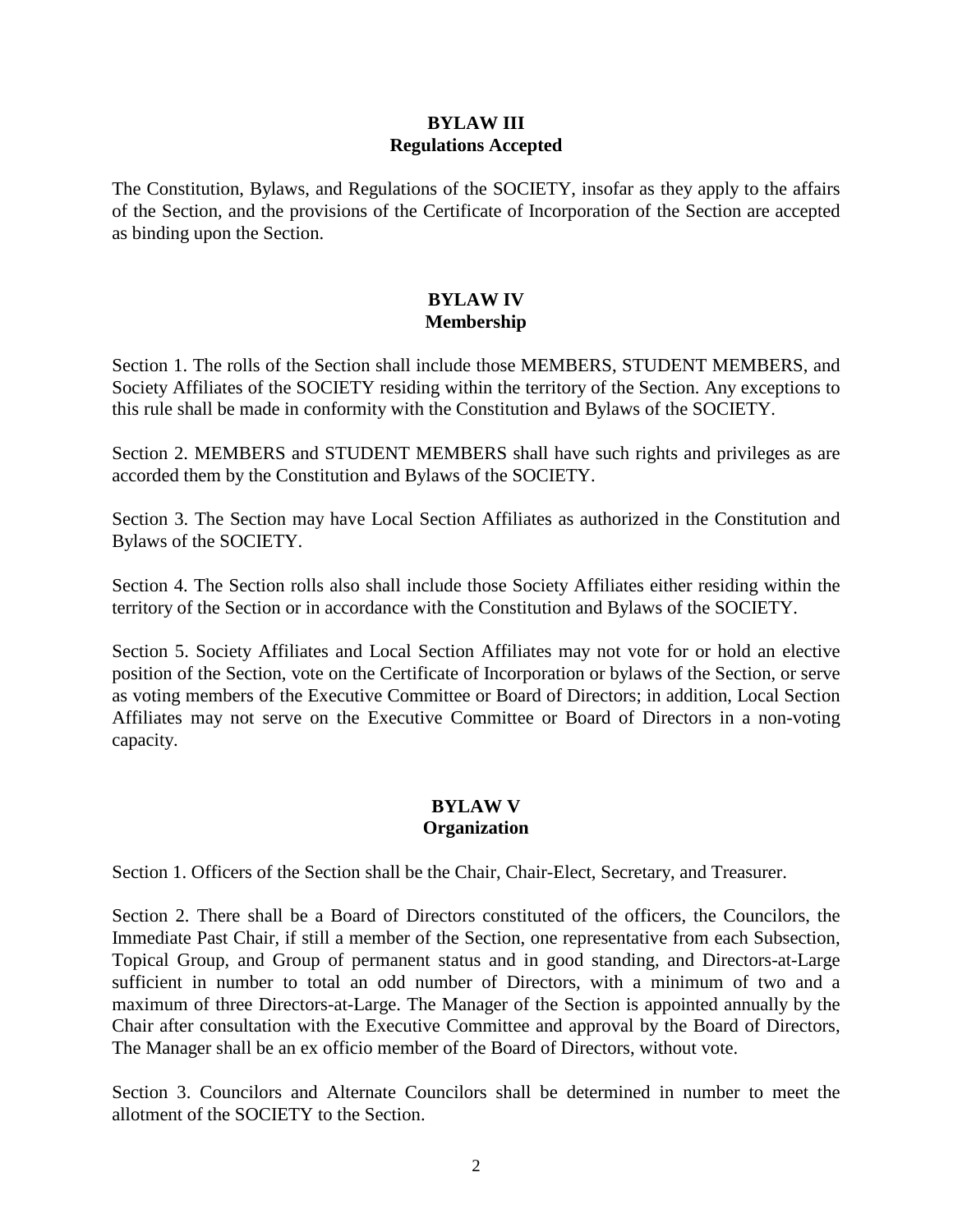### **BYLAW III Regulations Accepted**

The Constitution, Bylaws, and Regulations of the SOCIETY, insofar as they apply to the affairs of the Section, and the provisions of the Certificate of Incorporation of the Section are accepted as binding upon the Section.

## **BYLAW IV Membership**

Section 1. The rolls of the Section shall include those MEMBERS, STUDENT MEMBERS, and Society Affiliates of the SOCIETY residing within the territory of the Section. Any exceptions to this rule shall be made in conformity with the Constitution and Bylaws of the SOCIETY.

Section 2. MEMBERS and STUDENT MEMBERS shall have such rights and privileges as are accorded them by the Constitution and Bylaws of the SOCIETY.

Section 3. The Section may have Local Section Affiliates as authorized in the Constitution and Bylaws of the SOCIETY.

Section 4. The Section rolls also shall include those Society Affiliates either residing within the territory of the Section or in accordance with the Constitution and Bylaws of the SOCIETY.

Section 5. Society Affiliates and Local Section Affiliates may not vote for or hold an elective position of the Section, vote on the Certificate of Incorporation or bylaws of the Section, or serve as voting members of the Executive Committee or Board of Directors; in addition, Local Section Affiliates may not serve on the Executive Committee or Board of Directors in a non-voting capacity.

## **BYLAW V Organization**

Section 1. Officers of the Section shall be the Chair, Chair-Elect, Secretary, and Treasurer.

Section 2. There shall be a Board of Directors constituted of the officers, the Councilors, the Immediate Past Chair, if still a member of the Section, one representative from each Subsection, Topical Group, and Group of permanent status and in good standing, and Directors-at-Large sufficient in number to total an odd number of Directors, with a minimum of two and a maximum of three Directors-at-Large. The Manager of the Section is appointed annually by the Chair after consultation with the Executive Committee and approval by the Board of Directors, The Manager shall be an ex officio member of the Board of Directors, without vote.

Section 3. Councilors and Alternate Councilors shall be determined in number to meet the allotment of the SOCIETY to the Section.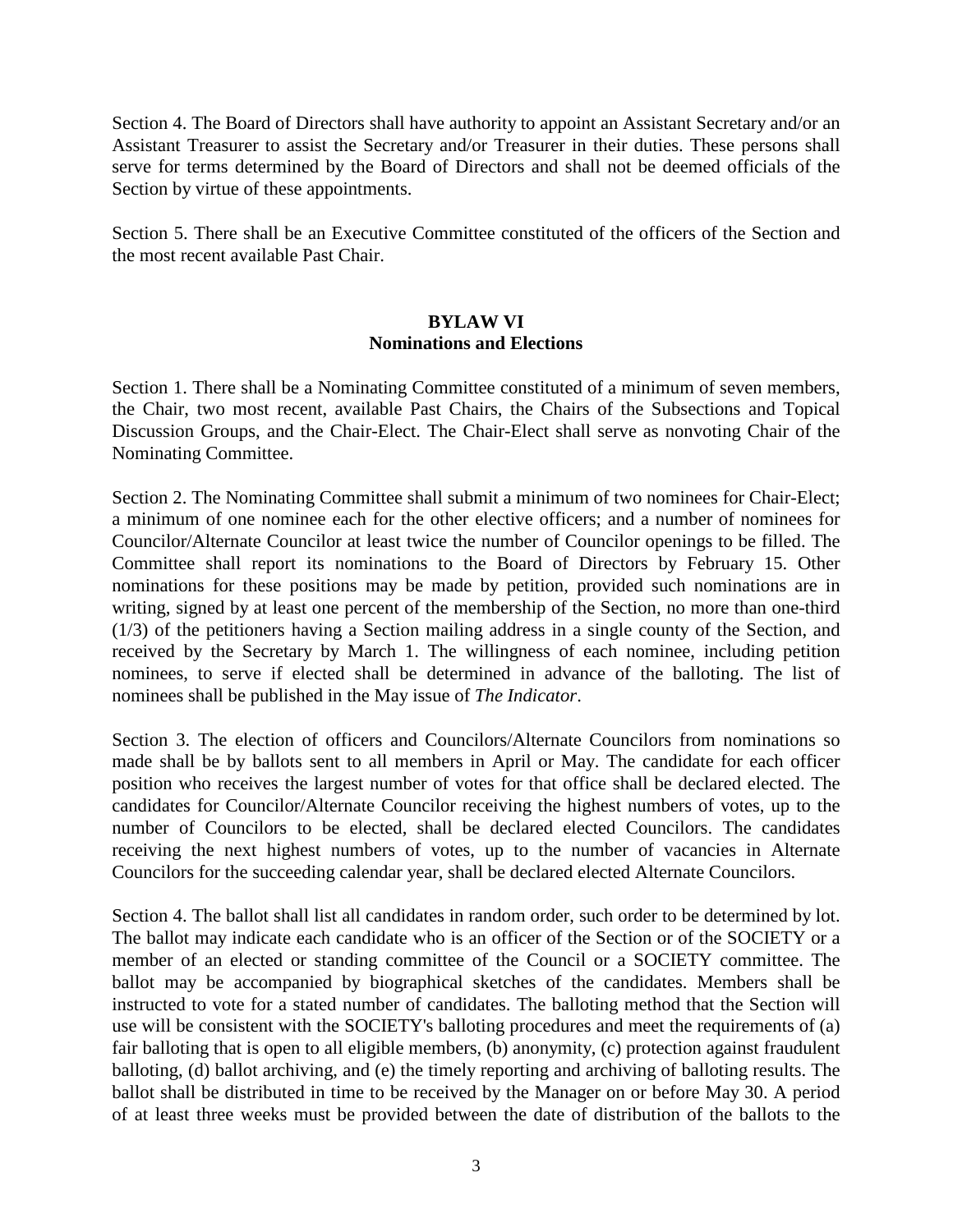Section 4. The Board of Directors shall have authority to appoint an Assistant Secretary and/or an Assistant Treasurer to assist the Secretary and/or Treasurer in their duties. These persons shall serve for terms determined by the Board of Directors and shall not be deemed officials of the Section by virtue of these appointments.

Section 5. There shall be an Executive Committee constituted of the officers of the Section and the most recent available Past Chair.

#### **BYLAW VI Nominations and Elections**

Section 1. There shall be a Nominating Committee constituted of a minimum of seven members, the Chair, two most recent, available Past Chairs, the Chairs of the Subsections and Topical Discussion Groups, and the Chair-Elect. The Chair-Elect shall serve as nonvoting Chair of the Nominating Committee.

Section 2. The Nominating Committee shall submit a minimum of two nominees for Chair-Elect; a minimum of one nominee each for the other elective officers; and a number of nominees for Councilor/Alternate Councilor at least twice the number of Councilor openings to be filled. The Committee shall report its nominations to the Board of Directors by February 15. Other nominations for these positions may be made by petition, provided such nominations are in writing, signed by at least one percent of the membership of the Section, no more than one-third (1/3) of the petitioners having a Section mailing address in a single county of the Section, and received by the Secretary by March 1. The willingness of each nominee, including petition nominees, to serve if elected shall be determined in advance of the balloting. The list of nominees shall be published in the May issue of *The Indicator*.

Section 3. The election of officers and Councilors/Alternate Councilors from nominations so made shall be by ballots sent to all members in April or May. The candidate for each officer position who receives the largest number of votes for that office shall be declared elected. The candidates for Councilor/Alternate Councilor receiving the highest numbers of votes, up to the number of Councilors to be elected, shall be declared elected Councilors. The candidates receiving the next highest numbers of votes, up to the number of vacancies in Alternate Councilors for the succeeding calendar year, shall be declared elected Alternate Councilors.

Section 4. The ballot shall list all candidates in random order, such order to be determined by lot. The ballot may indicate each candidate who is an officer of the Section or of the SOCIETY or a member of an elected or standing committee of the Council or a SOCIETY committee. The ballot may be accompanied by biographical sketches of the candidates. Members shall be instructed to vote for a stated number of candidates. The balloting method that the Section will use will be consistent with the SOCIETY's balloting procedures and meet the requirements of (a) fair balloting that is open to all eligible members, (b) anonymity, (c) protection against fraudulent balloting, (d) ballot archiving, and (e) the timely reporting and archiving of balloting results. The ballot shall be distributed in time to be received by the Manager on or before May 30. A period of at least three weeks must be provided between the date of distribution of the ballots to the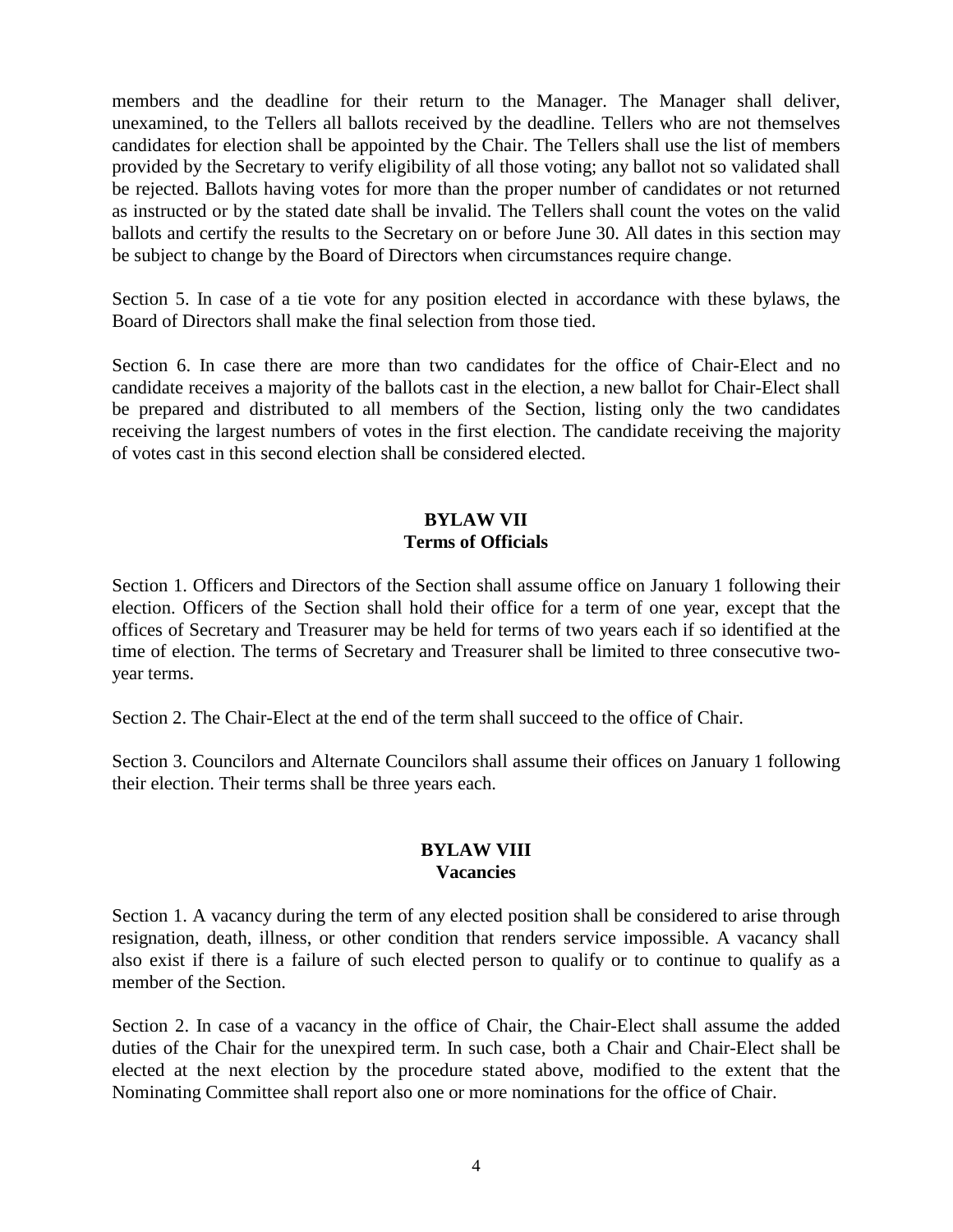members and the deadline for their return to the Manager. The Manager shall deliver, unexamined, to the Tellers all ballots received by the deadline. Tellers who are not themselves candidates for election shall be appointed by the Chair. The Tellers shall use the list of members provided by the Secretary to verify eligibility of all those voting; any ballot not so validated shall be rejected. Ballots having votes for more than the proper number of candidates or not returned as instructed or by the stated date shall be invalid. The Tellers shall count the votes on the valid ballots and certify the results to the Secretary on or before June 30. All dates in this section may be subject to change by the Board of Directors when circumstances require change.

Section 5. In case of a tie vote for any position elected in accordance with these bylaws, the Board of Directors shall make the final selection from those tied.

Section 6. In case there are more than two candidates for the office of Chair-Elect and no candidate receives a majority of the ballots cast in the election, a new ballot for Chair-Elect shall be prepared and distributed to all members of the Section, listing only the two candidates receiving the largest numbers of votes in the first election. The candidate receiving the majority of votes cast in this second election shall be considered elected.

# **BYLAW VII Terms of Officials**

Section 1. Officers and Directors of the Section shall assume office on January 1 following their election. Officers of the Section shall hold their office for a term of one year, except that the offices of Secretary and Treasurer may be held for terms of two years each if so identified at the time of election. The terms of Secretary and Treasurer shall be limited to three consecutive twoyear terms.

Section 2. The Chair-Elect at the end of the term shall succeed to the office of Chair.

Section 3. Councilors and Alternate Councilors shall assume their offices on January 1 following their election. Their terms shall be three years each.

# **BYLAW VIII Vacancies**

Section 1. A vacancy during the term of any elected position shall be considered to arise through resignation, death, illness, or other condition that renders service impossible. A vacancy shall also exist if there is a failure of such elected person to qualify or to continue to qualify as a member of the Section.

Section 2. In case of a vacancy in the office of Chair, the Chair-Elect shall assume the added duties of the Chair for the unexpired term. In such case, both a Chair and Chair-Elect shall be elected at the next election by the procedure stated above, modified to the extent that the Nominating Committee shall report also one or more nominations for the office of Chair.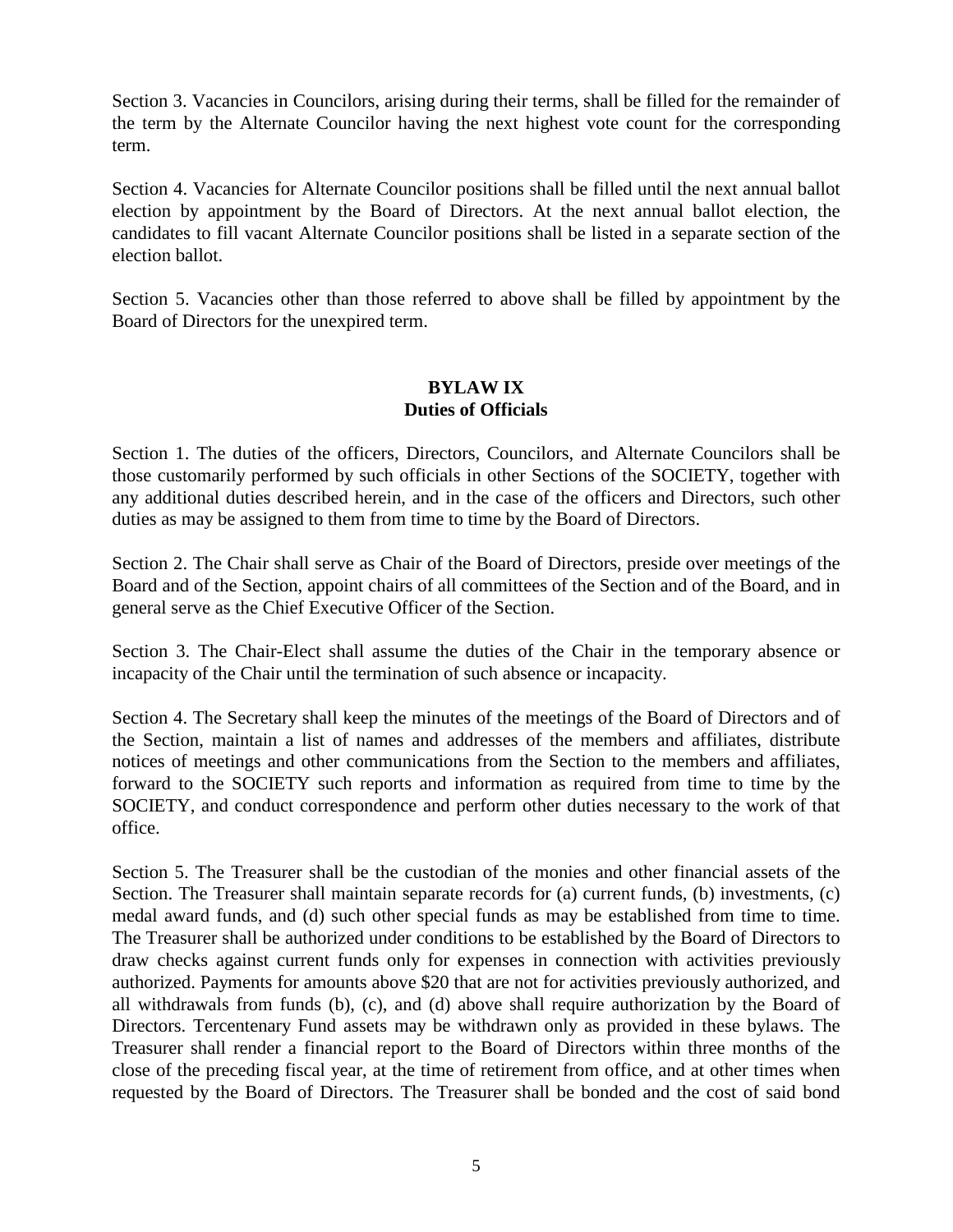Section 3. Vacancies in Councilors, arising during their terms, shall be filled for the remainder of the term by the Alternate Councilor having the next highest vote count for the corresponding term.

Section 4. Vacancies for Alternate Councilor positions shall be filled until the next annual ballot election by appointment by the Board of Directors. At the next annual ballot election, the candidates to fill vacant Alternate Councilor positions shall be listed in a separate section of the election ballot.

Section 5. Vacancies other than those referred to above shall be filled by appointment by the Board of Directors for the unexpired term.

#### **BYLAW IX Duties of Officials**

Section 1. The duties of the officers, Directors, Councilors, and Alternate Councilors shall be those customarily performed by such officials in other Sections of the SOCIETY, together with any additional duties described herein, and in the case of the officers and Directors, such other duties as may be assigned to them from time to time by the Board of Directors.

Section 2. The Chair shall serve as Chair of the Board of Directors, preside over meetings of the Board and of the Section, appoint chairs of all committees of the Section and of the Board, and in general serve as the Chief Executive Officer of the Section.

Section 3. The Chair-Elect shall assume the duties of the Chair in the temporary absence or incapacity of the Chair until the termination of such absence or incapacity.

Section 4. The Secretary shall keep the minutes of the meetings of the Board of Directors and of the Section, maintain a list of names and addresses of the members and affiliates, distribute notices of meetings and other communications from the Section to the members and affiliates, forward to the SOCIETY such reports and information as required from time to time by the SOCIETY, and conduct correspondence and perform other duties necessary to the work of that office.

Section 5. The Treasurer shall be the custodian of the monies and other financial assets of the Section. The Treasurer shall maintain separate records for (a) current funds, (b) investments, (c) medal award funds, and (d) such other special funds as may be established from time to time. The Treasurer shall be authorized under conditions to be established by the Board of Directors to draw checks against current funds only for expenses in connection with activities previously authorized. Payments for amounts above \$20 that are not for activities previously authorized, and all withdrawals from funds (b), (c), and (d) above shall require authorization by the Board of Directors. Tercentenary Fund assets may be withdrawn only as provided in these bylaws. The Treasurer shall render a financial report to the Board of Directors within three months of the close of the preceding fiscal year, at the time of retirement from office, and at other times when requested by the Board of Directors. The Treasurer shall be bonded and the cost of said bond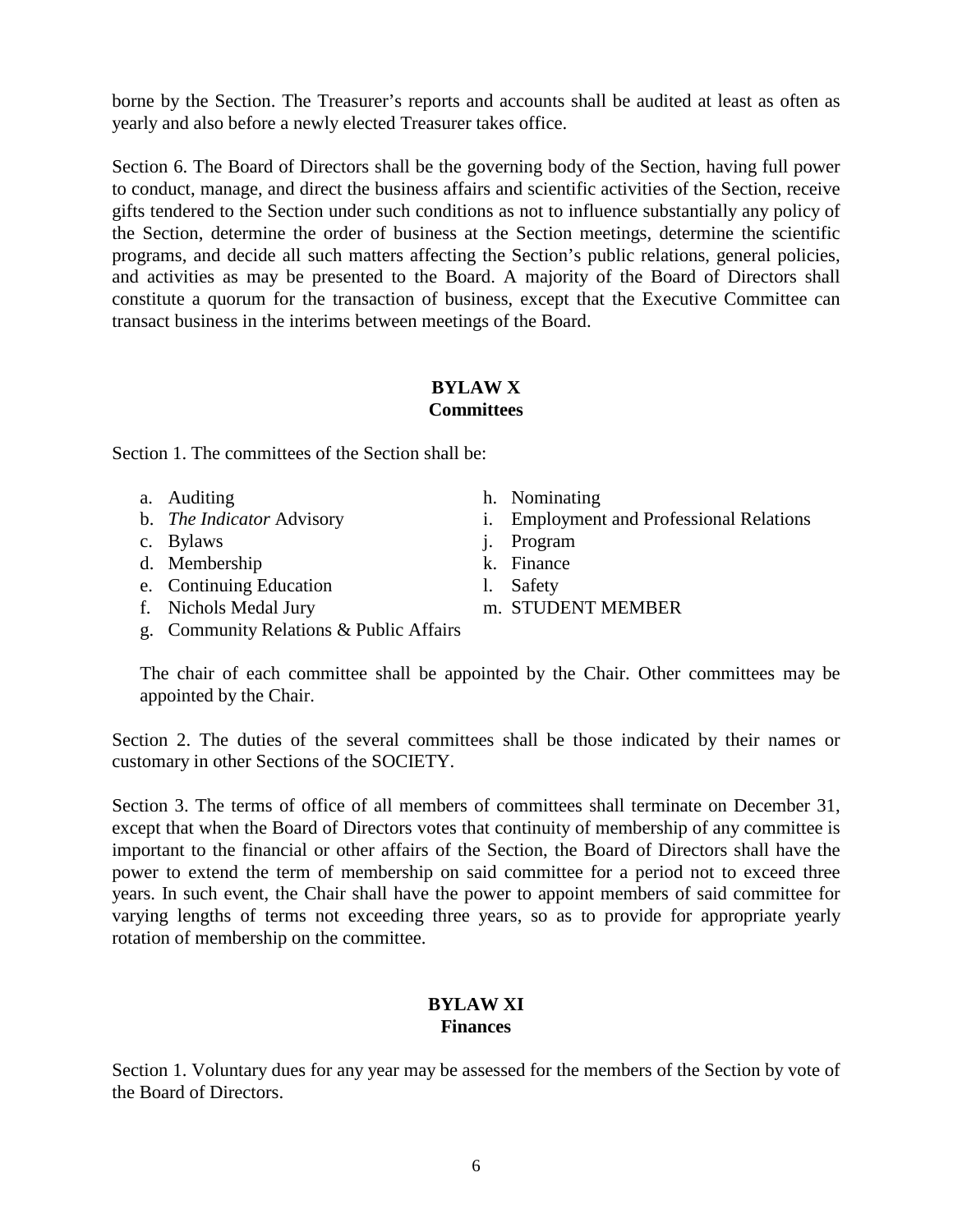borne by the Section. The Treasurer's reports and accounts shall be audited at least as often as yearly and also before a newly elected Treasurer takes office.

Section 6. The Board of Directors shall be the governing body of the Section, having full power to conduct, manage, and direct the business affairs and scientific activities of the Section, receive gifts tendered to the Section under such conditions as not to influence substantially any policy of the Section, determine the order of business at the Section meetings, determine the scientific programs, and decide all such matters affecting the Section's public relations, general policies, and activities as may be presented to the Board. A majority of the Board of Directors shall constitute a quorum for the transaction of business, except that the Executive Committee can transact business in the interims between meetings of the Board.

#### **BYLAW X Committees**

Section 1. The committees of the Section shall be:

- a. Auditing
- b. *The Indicator* Advisory
- c. Bylaws
- d. Membership
- e. Continuing Education
- f. Nichols Medal Jury
- g. Community Relations & Public Affairs
- h. Nominating
- i. Employment and Professional Relations
- j. Program
- k. Finance
- l. Safety
- m. STUDENT MEMBER

The chair of each committee shall be appointed by the Chair. Other committees may be appointed by the Chair.

Section 2. The duties of the several committees shall be those indicated by their names or customary in other Sections of the SOCIETY.

Section 3. The terms of office of all members of committees shall terminate on December 31, except that when the Board of Directors votes that continuity of membership of any committee is important to the financial or other affairs of the Section, the Board of Directors shall have the power to extend the term of membership on said committee for a period not to exceed three years. In such event, the Chair shall have the power to appoint members of said committee for varying lengths of terms not exceeding three years, so as to provide for appropriate yearly rotation of membership on the committee.

## **BYLAW XI Finances**

Section 1. Voluntary dues for any year may be assessed for the members of the Section by vote of the Board of Directors.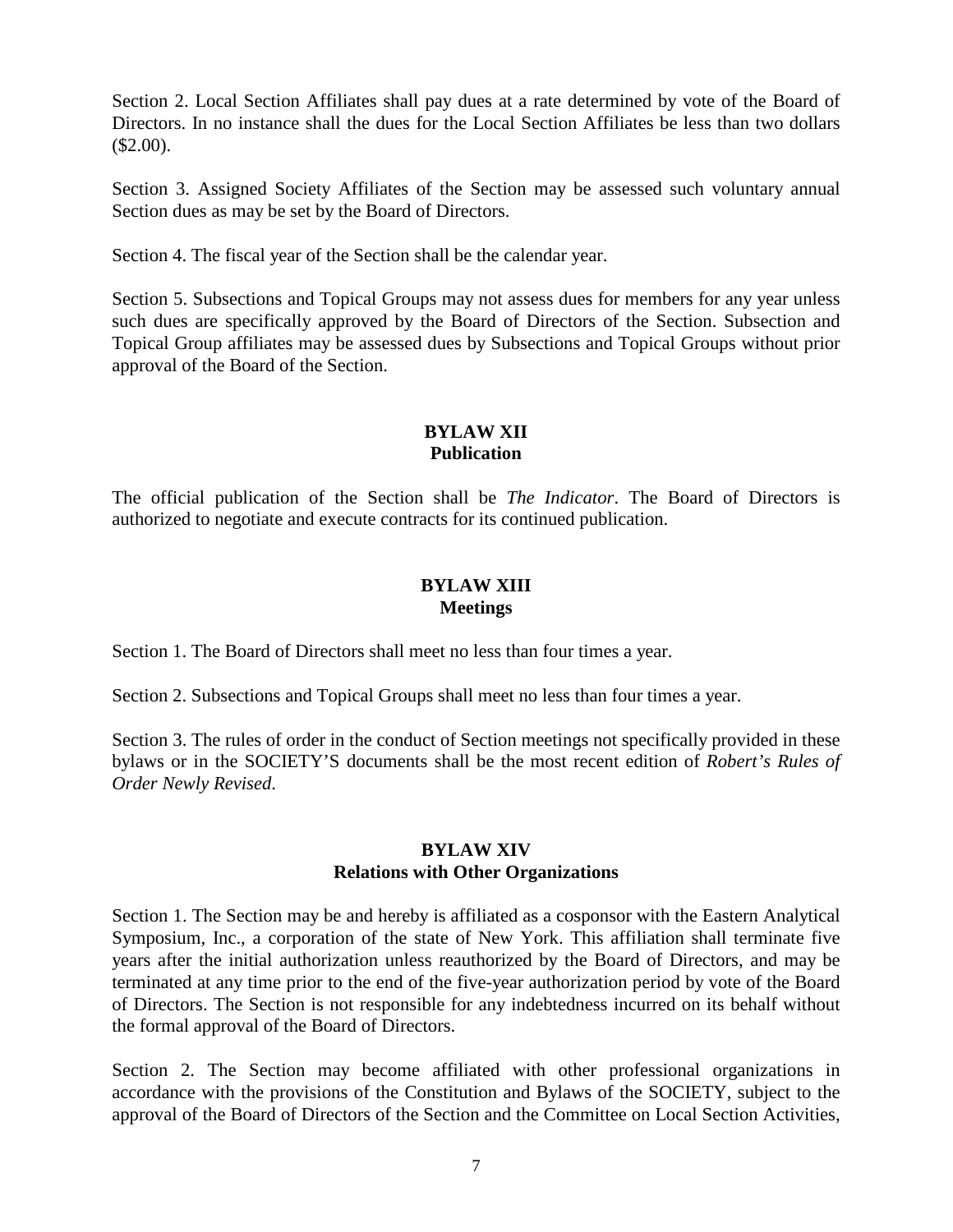Section 2. Local Section Affiliates shall pay dues at a rate determined by vote of the Board of Directors. In no instance shall the dues for the Local Section Affiliates be less than two dollars  $$2.00$ ).

Section 3. Assigned Society Affiliates of the Section may be assessed such voluntary annual Section dues as may be set by the Board of Directors.

Section 4. The fiscal year of the Section shall be the calendar year.

Section 5. Subsections and Topical Groups may not assess dues for members for any year unless such dues are specifically approved by the Board of Directors of the Section. Subsection and Topical Group affiliates may be assessed dues by Subsections and Topical Groups without prior approval of the Board of the Section.

## **BYLAW XII Publication**

The official publication of the Section shall be *The Indicator*. The Board of Directors is authorized to negotiate and execute contracts for its continued publication.

## **BYLAW XIII Meetings**

Section 1. The Board of Directors shall meet no less than four times a year.

Section 2. Subsections and Topical Groups shall meet no less than four times a year.

Section 3. The rules of order in the conduct of Section meetings not specifically provided in these bylaws or in the SOCIETY'S documents shall be the most recent edition of *Robert's Rules of Order Newly Revised*.

#### **BYLAW XIV Relations with Other Organizations**

Section 1. The Section may be and hereby is affiliated as a cosponsor with the Eastern Analytical Symposium, Inc., a corporation of the state of New York. This affiliation shall terminate five years after the initial authorization unless reauthorized by the Board of Directors, and may be terminated at any time prior to the end of the five-year authorization period by vote of the Board of Directors. The Section is not responsible for any indebtedness incurred on its behalf without the formal approval of the Board of Directors.

Section 2. The Section may become affiliated with other professional organizations in accordance with the provisions of the Constitution and Bylaws of the SOCIETY, subject to the approval of the Board of Directors of the Section and the Committee on Local Section Activities,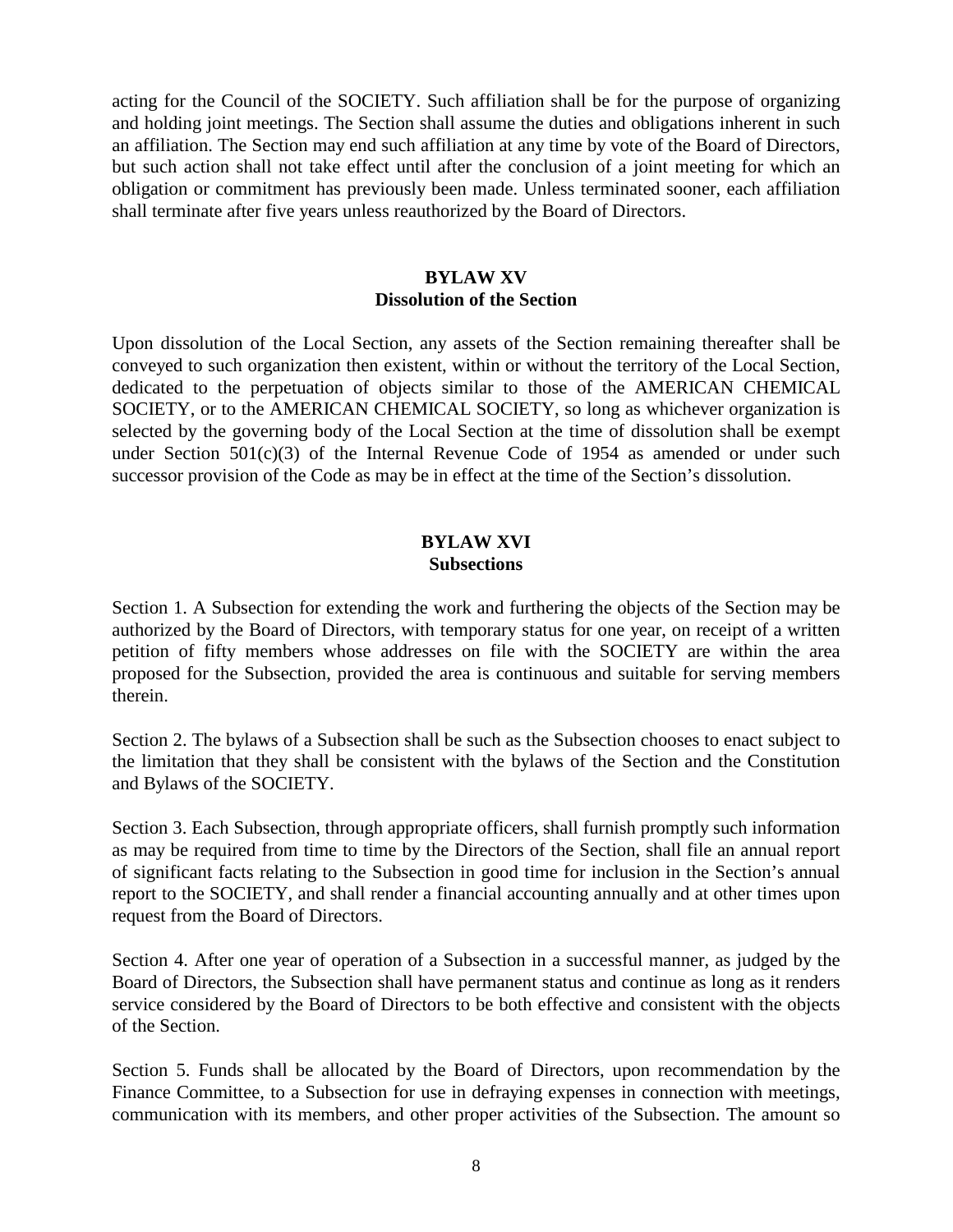acting for the Council of the SOCIETY. Such affiliation shall be for the purpose of organizing and holding joint meetings. The Section shall assume the duties and obligations inherent in such an affiliation. The Section may end such affiliation at any time by vote of the Board of Directors, but such action shall not take effect until after the conclusion of a joint meeting for which an obligation or commitment has previously been made. Unless terminated sooner, each affiliation shall terminate after five years unless reauthorized by the Board of Directors.

## **BYLAW XV Dissolution of the Section**

Upon dissolution of the Local Section, any assets of the Section remaining thereafter shall be conveyed to such organization then existent, within or without the territory of the Local Section, dedicated to the perpetuation of objects similar to those of the AMERICAN CHEMICAL SOCIETY, or to the AMERICAN CHEMICAL SOCIETY, so long as whichever organization is selected by the governing body of the Local Section at the time of dissolution shall be exempt under Section 501(c)(3) of the Internal Revenue Code of 1954 as amended or under such successor provision of the Code as may be in effect at the time of the Section's dissolution.

#### **BYLAW XVI Subsections**

Section 1. A Subsection for extending the work and furthering the objects of the Section may be authorized by the Board of Directors, with temporary status for one year, on receipt of a written petition of fifty members whose addresses on file with the SOCIETY are within the area proposed for the Subsection, provided the area is continuous and suitable for serving members therein.

Section 2. The bylaws of a Subsection shall be such as the Subsection chooses to enact subject to the limitation that they shall be consistent with the bylaws of the Section and the Constitution and Bylaws of the SOCIETY.

Section 3. Each Subsection, through appropriate officers, shall furnish promptly such information as may be required from time to time by the Directors of the Section, shall file an annual report of significant facts relating to the Subsection in good time for inclusion in the Section's annual report to the SOCIETY, and shall render a financial accounting annually and at other times upon request from the Board of Directors.

Section 4. After one year of operation of a Subsection in a successful manner, as judged by the Board of Directors, the Subsection shall have permanent status and continue as long as it renders service considered by the Board of Directors to be both effective and consistent with the objects of the Section.

Section 5. Funds shall be allocated by the Board of Directors, upon recommendation by the Finance Committee, to a Subsection for use in defraying expenses in connection with meetings, communication with its members, and other proper activities of the Subsection. The amount so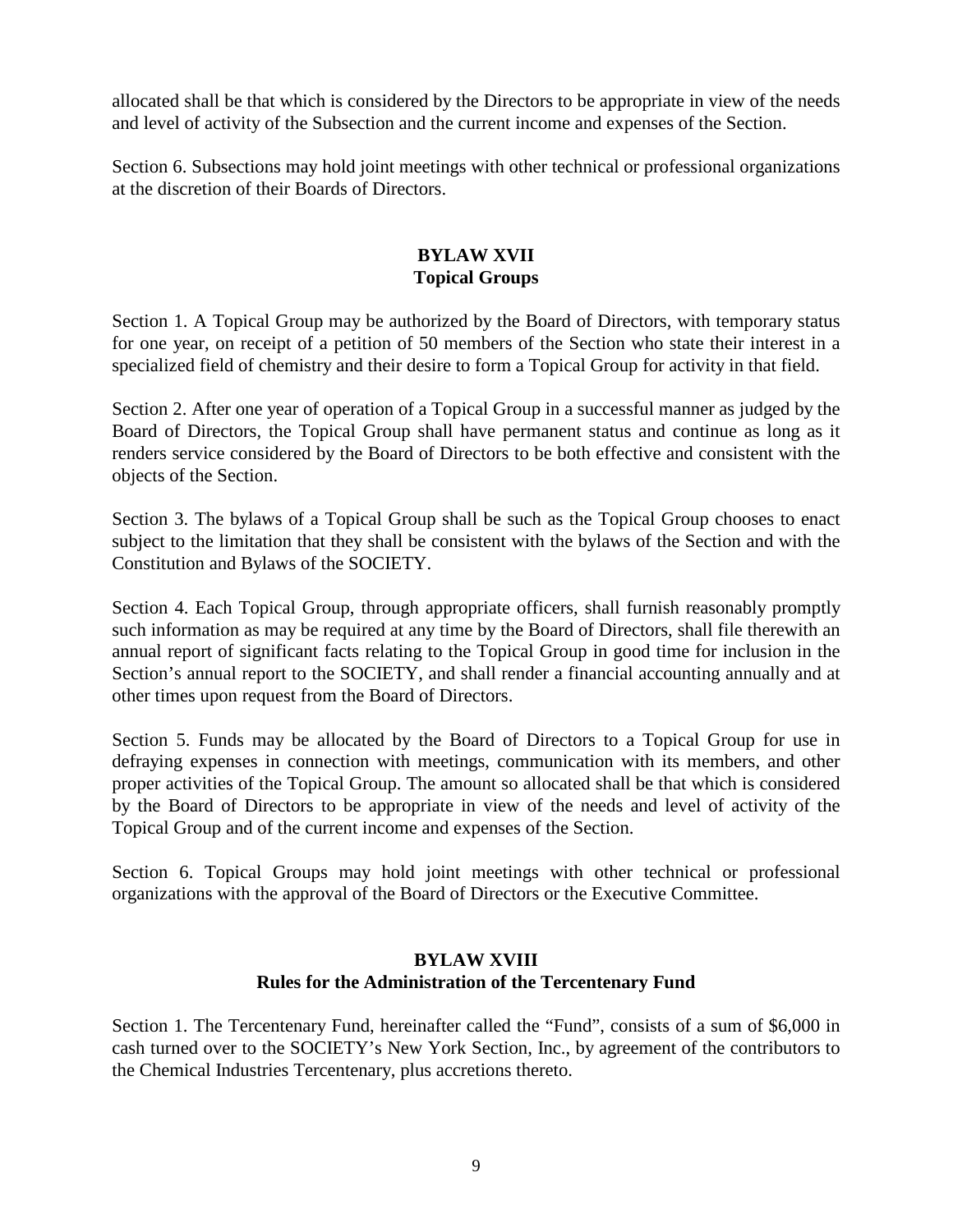allocated shall be that which is considered by the Directors to be appropriate in view of the needs and level of activity of the Subsection and the current income and expenses of the Section.

Section 6. Subsections may hold joint meetings with other technical or professional organizations at the discretion of their Boards of Directors.

# **BYLAW XVII Topical Groups**

Section 1. A Topical Group may be authorized by the Board of Directors, with temporary status for one year, on receipt of a petition of 50 members of the Section who state their interest in a specialized field of chemistry and their desire to form a Topical Group for activity in that field.

Section 2. After one year of operation of a Topical Group in a successful manner as judged by the Board of Directors, the Topical Group shall have permanent status and continue as long as it renders service considered by the Board of Directors to be both effective and consistent with the objects of the Section.

Section 3. The bylaws of a Topical Group shall be such as the Topical Group chooses to enact subject to the limitation that they shall be consistent with the bylaws of the Section and with the Constitution and Bylaws of the SOCIETY.

Section 4. Each Topical Group, through appropriate officers, shall furnish reasonably promptly such information as may be required at any time by the Board of Directors, shall file therewith an annual report of significant facts relating to the Topical Group in good time for inclusion in the Section's annual report to the SOCIETY, and shall render a financial accounting annually and at other times upon request from the Board of Directors.

Section 5. Funds may be allocated by the Board of Directors to a Topical Group for use in defraying expenses in connection with meetings, communication with its members, and other proper activities of the Topical Group. The amount so allocated shall be that which is considered by the Board of Directors to be appropriate in view of the needs and level of activity of the Topical Group and of the current income and expenses of the Section.

Section 6. Topical Groups may hold joint meetings with other technical or professional organizations with the approval of the Board of Directors or the Executive Committee.

#### **BYLAW XVIII Rules for the Administration of the Tercentenary Fund**

Section 1. The Tercentenary Fund, hereinafter called the "Fund", consists of a sum of \$6,000 in cash turned over to the SOCIETY's New York Section, Inc., by agreement of the contributors to the Chemical Industries Tercentenary, plus accretions thereto.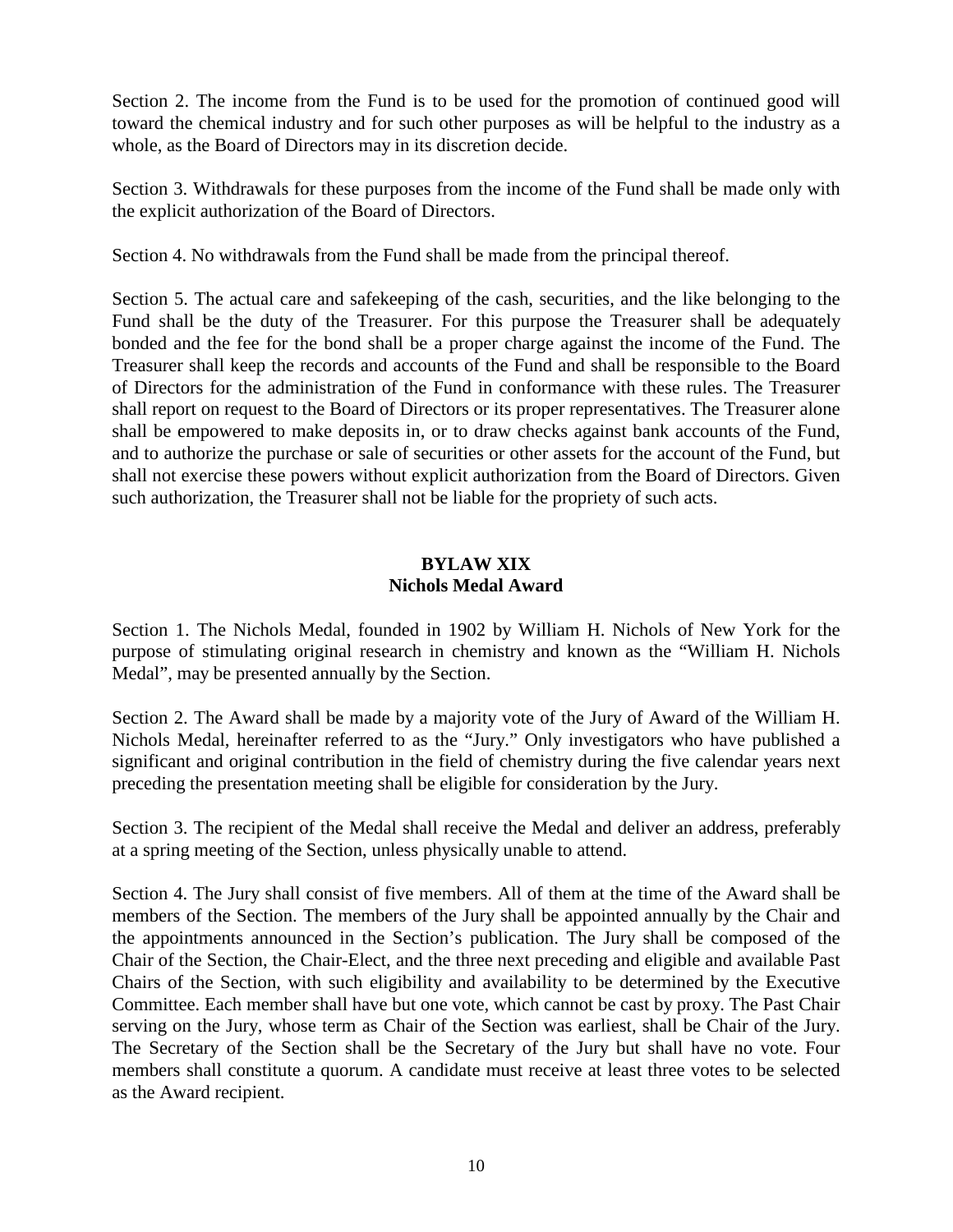Section 2. The income from the Fund is to be used for the promotion of continued good will toward the chemical industry and for such other purposes as will be helpful to the industry as a whole, as the Board of Directors may in its discretion decide.

Section 3. Withdrawals for these purposes from the income of the Fund shall be made only with the explicit authorization of the Board of Directors.

Section 4. No withdrawals from the Fund shall be made from the principal thereof.

Section 5. The actual care and safekeeping of the cash, securities, and the like belonging to the Fund shall be the duty of the Treasurer. For this purpose the Treasurer shall be adequately bonded and the fee for the bond shall be a proper charge against the income of the Fund. The Treasurer shall keep the records and accounts of the Fund and shall be responsible to the Board of Directors for the administration of the Fund in conformance with these rules. The Treasurer shall report on request to the Board of Directors or its proper representatives. The Treasurer alone shall be empowered to make deposits in, or to draw checks against bank accounts of the Fund, and to authorize the purchase or sale of securities or other assets for the account of the Fund, but shall not exercise these powers without explicit authorization from the Board of Directors. Given such authorization, the Treasurer shall not be liable for the propriety of such acts.

# **BYLAW XIX Nichols Medal Award**

Section 1. The Nichols Medal, founded in 1902 by William H. Nichols of New York for the purpose of stimulating original research in chemistry and known as the "William H. Nichols Medal", may be presented annually by the Section.

Section 2. The Award shall be made by a majority vote of the Jury of Award of the William H. Nichols Medal, hereinafter referred to as the "Jury." Only investigators who have published a significant and original contribution in the field of chemistry during the five calendar years next preceding the presentation meeting shall be eligible for consideration by the Jury.

Section 3. The recipient of the Medal shall receive the Medal and deliver an address, preferably at a spring meeting of the Section, unless physically unable to attend.

Section 4. The Jury shall consist of five members. All of them at the time of the Award shall be members of the Section. The members of the Jury shall be appointed annually by the Chair and the appointments announced in the Section's publication. The Jury shall be composed of the Chair of the Section, the Chair-Elect, and the three next preceding and eligible and available Past Chairs of the Section, with such eligibility and availability to be determined by the Executive Committee. Each member shall have but one vote, which cannot be cast by proxy. The Past Chair serving on the Jury, whose term as Chair of the Section was earliest, shall be Chair of the Jury. The Secretary of the Section shall be the Secretary of the Jury but shall have no vote. Four members shall constitute a quorum. A candidate must receive at least three votes to be selected as the Award recipient.